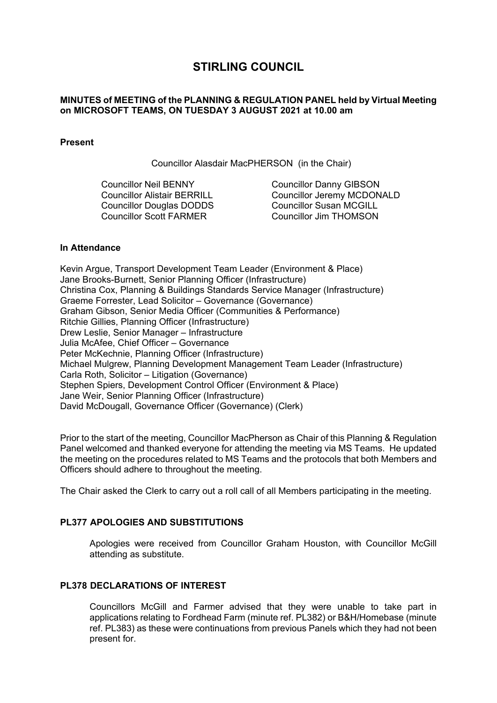# **STIRLING COUNCIL**

# **MINUTES of MEETING of the PLANNING & REGULATION PANEL held by Virtual Meeting on MICROSOFT TEAMS, ON TUESDAY 3 AUGUST 2021 at 10.00 am**

## **Present**

Councillor Alasdair MacPHERSON (in the Chair)

Councillor Neil BENNY Councillor Alistair BERRILL Councillor Douglas DODDS Councillor Scott FARMER

Councillor Danny GIBSON Councillor Jeremy MCDONALD Councillor Susan MCGILL Councillor Jim THOMSON

## **In Attendance**

Kevin Argue, Transport Development Team Leader (Environment & Place) Jane Brooks-Burnett, Senior Planning Officer (Infrastructure) Christina Cox, Planning & Buildings Standards Service Manager (Infrastructure) Graeme Forrester, Lead Solicitor – Governance (Governance) Graham Gibson, Senior Media Officer (Communities & Performance) Ritchie Gillies, Planning Officer (Infrastructure) Drew Leslie, Senior Manager – Infrastructure Julia McAfee, Chief Officer – Governance Peter McKechnie, Planning Officer (Infrastructure) Michael Mulgrew, Planning Development Management Team Leader (Infrastructure) Carla Roth, Solicitor – Litigation (Governance) Stephen Spiers, Development Control Officer (Environment & Place) Jane Weir, Senior Planning Officer (Infrastructure) David McDougall, Governance Officer (Governance) (Clerk)

Prior to the start of the meeting, Councillor MacPherson as Chair of this Planning & Regulation Panel welcomed and thanked everyone for attending the meeting via MS Teams. He updated the meeting on the procedures related to MS Teams and the protocols that both Members and Officers should adhere to throughout the meeting.

The Chair asked the Clerk to carry out a roll call of all Members participating in the meeting.

# **PL377 APOLOGIES AND SUBSTITUTIONS**

Apologies were received from Councillor Graham Houston, with Councillor McGill attending as substitute.

# **PL378 DECLARATIONS OF INTEREST**

Councillors McGill and Farmer advised that they were unable to take part in applications relating to Fordhead Farm (minute ref. PL382) or B&H/Homebase (minute ref. PL383) as these were continuations from previous Panels which they had not been present for.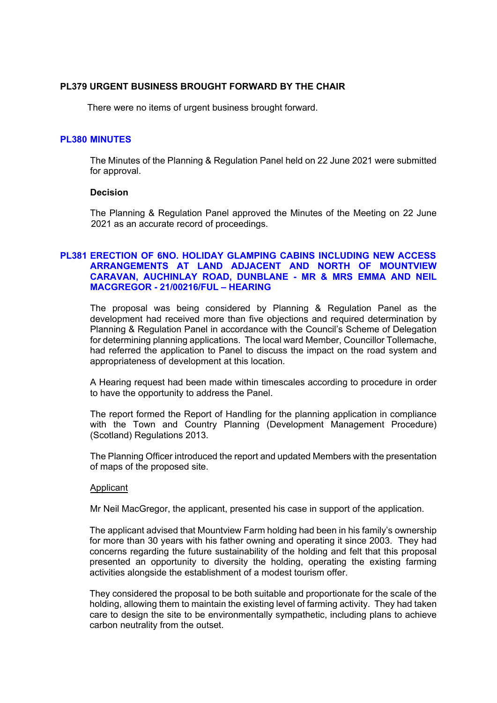## **PL379 URGENT BUSINESS BROUGHT FORWARD BY THE CHAIR**

There were no items of urgent business brought forward.

#### **PL380 MINUTES**

The Minutes of the Planning & Regulation Panel held on 22 June 2021 were submitted for approval.

#### **Decision**

The Planning & Regulation Panel approved the Minutes of the Meeting on 22 June 2021 as an accurate record of proceedings.

# **PL381 ERECTION OF 6NO. HOLIDAY GLAMPING CABINS INCLUDING NEW ACCESS ARRANGEMENTS AT LAND ADJACENT AND NORTH OF MOUNTVIEW CARAVAN, AUCHINLAY ROAD, DUNBLANE - MR & MRS EMMA AND NEIL MACGREGOR - 21/00216/FUL – HEARING**

The proposal was being considered by Planning & Regulation Panel as the development had received more than five objections and required determination by Planning & Regulation Panel in accordance with the Council's Scheme of Delegation for determining planning applications. The local ward Member, Councillor Tollemache, had referred the application to Panel to discuss the impact on the road system and appropriateness of development at this location.

A Hearing request had been made within timescales according to procedure in order to have the opportunity to address the Panel.

The report formed the Report of Handling for the planning application in compliance with the Town and Country Planning (Development Management Procedure) (Scotland) Regulations 2013.

The Planning Officer introduced the report and updated Members with the presentation of maps of the proposed site.

#### Applicant

Mr Neil MacGregor, the applicant, presented his case in support of the application.

The applicant advised that Mountview Farm holding had been in his family's ownership for more than 30 years with his father owning and operating it since 2003. They had concerns regarding the future sustainability of the holding and felt that this proposal presented an opportunity to diversity the holding, operating the existing farming activities alongside the establishment of a modest tourism offer.

They considered the proposal to be both suitable and proportionate for the scale of the holding, allowing them to maintain the existing level of farming activity. They had taken care to design the site to be environmentally sympathetic, including plans to achieve carbon neutrality from the outset.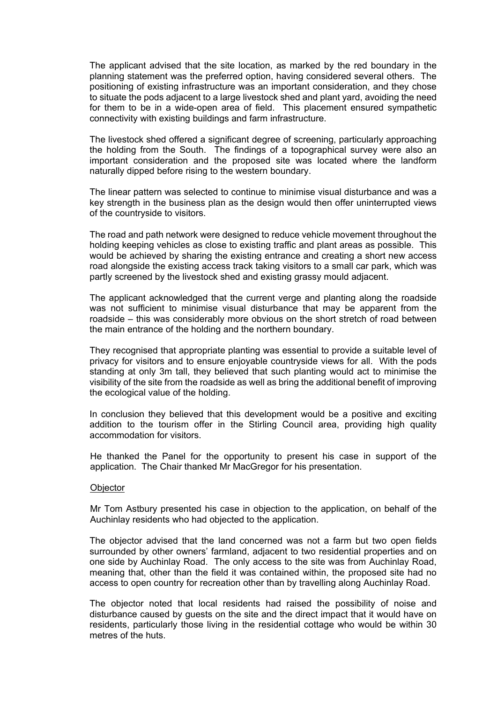The applicant advised that the site location, as marked by the red boundary in the planning statement was the preferred option, having considered several others. The positioning of existing infrastructure was an important consideration, and they chose to situate the pods adjacent to a large livestock shed and plant yard, avoiding the need for them to be in a wide-open area of field. This placement ensured sympathetic connectivity with existing buildings and farm infrastructure.

The livestock shed offered a significant degree of screening, particularly approaching the holding from the South. The findings of a topographical survey were also an important consideration and the proposed site was located where the landform naturally dipped before rising to the western boundary.

The linear pattern was selected to continue to minimise visual disturbance and was a key strength in the business plan as the design would then offer uninterrupted views of the countryside to visitors.

The road and path network were designed to reduce vehicle movement throughout the holding keeping vehicles as close to existing traffic and plant areas as possible. This would be achieved by sharing the existing entrance and creating a short new access road alongside the existing access track taking visitors to a small car park, which was partly screened by the livestock shed and existing grassy mould adjacent.

The applicant acknowledged that the current verge and planting along the roadside was not sufficient to minimise visual disturbance that may be apparent from the roadside – this was considerably more obvious on the short stretch of road between the main entrance of the holding and the northern boundary.

They recognised that appropriate planting was essential to provide a suitable level of privacy for visitors and to ensure enjoyable countryside views for all. With the pods standing at only 3m tall, they believed that such planting would act to minimise the visibility of the site from the roadside as well as bring the additional benefit of improving the ecological value of the holding.

In conclusion they believed that this development would be a positive and exciting addition to the tourism offer in the Stirling Council area, providing high quality accommodation for visitors.

He thanked the Panel for the opportunity to present his case in support of the application. The Chair thanked Mr MacGregor for his presentation.

#### **Objector**

Mr Tom Astbury presented his case in objection to the application, on behalf of the Auchinlay residents who had objected to the application.

The objector advised that the land concerned was not a farm but two open fields surrounded by other owners' farmland, adjacent to two residential properties and on one side by Auchinlay Road. The only access to the site was from Auchinlay Road, meaning that, other than the field it was contained within, the proposed site had no access to open country for recreation other than by travelling along Auchinlay Road.

The objector noted that local residents had raised the possibility of noise and disturbance caused by guests on the site and the direct impact that it would have on residents, particularly those living in the residential cottage who would be within 30 metres of the huts.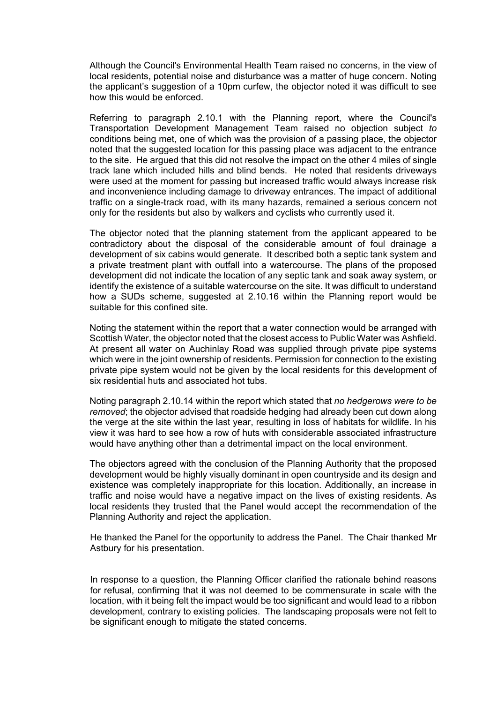Although the Council's Environmental Health Team raised no concerns, in the view of local residents, potential noise and disturbance was a matter of huge concern. Noting the applicant's suggestion of a 10pm curfew, the objector noted it was difficult to see how this would be enforced.

Referring to paragraph 2.10.1 with the Planning report, where the Council's Transportation Development Management Team raised no objection subject *to*  conditions being met, one of which was the provision of a passing place, the objector noted that the suggested location for this passing place was adjacent to the entrance to the site. He argued that this did not resolve the impact on the other 4 miles of single track lane which included hills and blind bends. He noted that residents driveways were used at the moment for passing but increased traffic would always increase risk and inconvenience including damage to driveway entrances. The impact of additional traffic on a single-track road, with its many hazards, remained a serious concern not only for the residents but also by walkers and cyclists who currently used it.

The objector noted that the planning statement from the applicant appeared to be contradictory about the disposal of the considerable amount of foul drainage a development of six cabins would generate. It described both a septic tank system and a private treatment plant with outfall into a watercourse. The plans of the proposed development did not indicate the location of any septic tank and soak away system, or identify the existence of a suitable watercourse on the site. It was difficult to understand how a SUDs scheme, suggested at 2.10.16 within the Planning report would be suitable for this confined site.

Noting the statement within the report that a water connection would be arranged with Scottish Water, the objector noted that the closest access to Public Water was Ashfield. At present all water on Auchinlay Road was supplied through private pipe systems which were in the joint ownership of residents. Permission for connection to the existing private pipe system would not be given by the local residents for this development of six residential huts and associated hot tubs.

Noting paragraph 2.10.14 within the report which stated that *no hedgerows were to be removed*; the objector advised that roadside hedging had already been cut down along the verge at the site within the last year, resulting in loss of habitats for wildlife. In his view it was hard to see how a row of huts with considerable associated infrastructure would have anything other than a detrimental impact on the local environment.

The objectors agreed with the conclusion of the Planning Authority that the proposed development would be highly visually dominant in open countryside and its design and existence was completely inappropriate for this location. Additionally, an increase in traffic and noise would have a negative impact on the lives of existing residents. As local residents they trusted that the Panel would accept the recommendation of the Planning Authority and reject the application.

He thanked the Panel for the opportunity to address the Panel. The Chair thanked Mr Astbury for his presentation.

In response to a question, the Planning Officer clarified the rationale behind reasons for refusal, confirming that it was not deemed to be commensurate in scale with the location, with it being felt the impact would be too significant and would lead to a ribbon development, contrary to existing policies. The landscaping proposals were not felt to be significant enough to mitigate the stated concerns.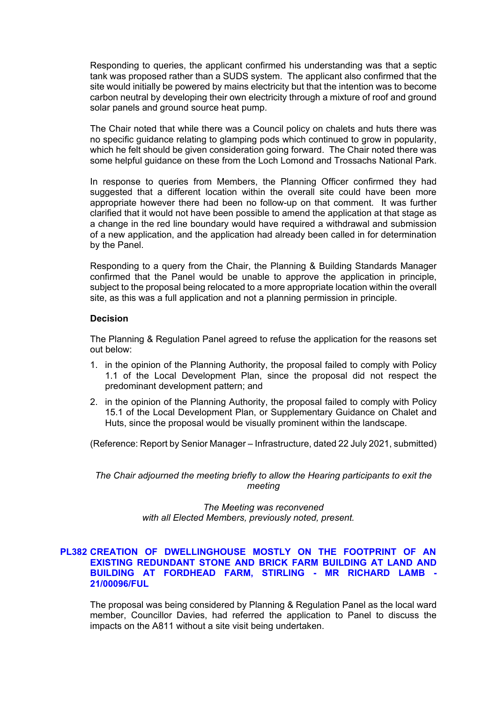Responding to queries, the applicant confirmed his understanding was that a septic tank was proposed rather than a SUDS system. The applicant also confirmed that the site would initially be powered by mains electricity but that the intention was to become carbon neutral by developing their own electricity through a mixture of roof and ground solar panels and ground source heat pump.

The Chair noted that while there was a Council policy on chalets and huts there was no specific guidance relating to glamping pods which continued to grow in popularity, which he felt should be given consideration going forward. The Chair noted there was some helpful guidance on these from the Loch Lomond and Trossachs National Park.

In response to queries from Members, the Planning Officer confirmed they had suggested that a different location within the overall site could have been more appropriate however there had been no follow-up on that comment. It was further clarified that it would not have been possible to amend the application at that stage as a change in the red line boundary would have required a withdrawal and submission of a new application, and the application had already been called in for determination by the Panel.

Responding to a query from the Chair, the Planning & Building Standards Manager confirmed that the Panel would be unable to approve the application in principle, subject to the proposal being relocated to a more appropriate location within the overall site, as this was a full application and not a planning permission in principle.

#### **Decision**

The Planning & Regulation Panel agreed to refuse the application for the reasons set out below:

- 1. in the opinion of the Planning Authority, the proposal failed to comply with Policy 1.1 of the Local Development Plan, since the proposal did not respect the predominant development pattern; and
- 2. in the opinion of the Planning Authority, the proposal failed to comply with Policy 15.1 of the Local Development Plan, or Supplementary Guidance on Chalet and Huts, since the proposal would be visually prominent within the landscape.

(Reference: Report by Senior Manager – Infrastructure, dated 22 July 2021, submitted)

*The Chair adjourned the meeting briefly to allow the Hearing participants to exit the meeting* 

> *The Meeting was reconvened with all Elected Members, previously noted, present.*

## **PL382 CREATION OF DWELLINGHOUSE MOSTLY ON THE FOOTPRINT OF AN EXISTING REDUNDANT STONE AND BRICK FARM BUILDING AT LAND AND BUILDING AT FORDHEAD FARM, STIRLING - MR RICHARD LAMB - 21/00096/FUL**

The proposal was being considered by Planning & Regulation Panel as the local ward member, Councillor Davies, had referred the application to Panel to discuss the impacts on the A811 without a site visit being undertaken.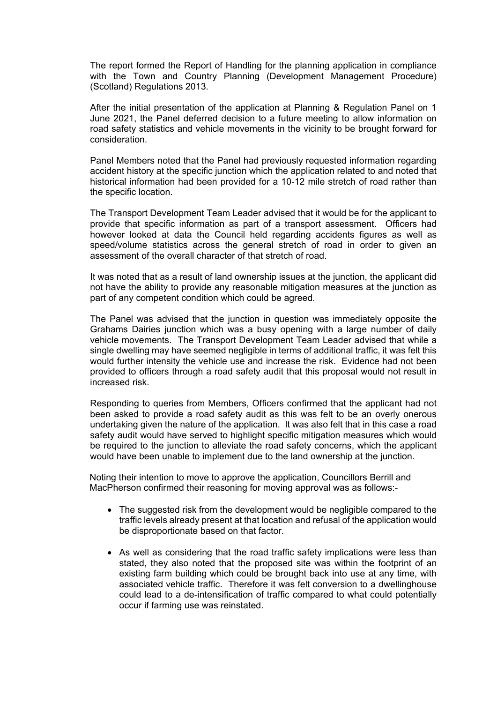The report formed the Report of Handling for the planning application in compliance with the Town and Country Planning (Development Management Procedure) (Scotland) Regulations 2013.

After the initial presentation of the application at Planning & Regulation Panel on 1 June 2021, the Panel deferred decision to a future meeting to allow information on road safety statistics and vehicle movements in the vicinity to be brought forward for consideration.

Panel Members noted that the Panel had previously requested information regarding accident history at the specific junction which the application related to and noted that historical information had been provided for a 10-12 mile stretch of road rather than the specific location.

The Transport Development Team Leader advised that it would be for the applicant to provide that specific information as part of a transport assessment. Officers had however looked at data the Council held regarding accidents figures as well as speed/volume statistics across the general stretch of road in order to given an assessment of the overall character of that stretch of road.

It was noted that as a result of land ownership issues at the junction, the applicant did not have the ability to provide any reasonable mitigation measures at the junction as part of any competent condition which could be agreed.

The Panel was advised that the junction in question was immediately opposite the Grahams Dairies junction which was a busy opening with a large number of daily vehicle movements. The Transport Development Team Leader advised that while a single dwelling may have seemed negligible in terms of additional traffic, it was felt this would further intensity the vehicle use and increase the risk. Evidence had not been provided to officers through a road safety audit that this proposal would not result in increased risk.

Responding to queries from Members, Officers confirmed that the applicant had not been asked to provide a road safety audit as this was felt to be an overly onerous undertaking given the nature of the application. It was also felt that in this case a road safety audit would have served to highlight specific mitigation measures which would be required to the junction to alleviate the road safety concerns, which the applicant would have been unable to implement due to the land ownership at the junction.

Noting their intention to move to approve the application, Councillors Berrill and MacPherson confirmed their reasoning for moving approval was as follows:-

- The suggested risk from the development would be negligible compared to the traffic levels already present at that location and refusal of the application would be disproportionate based on that factor.
- As well as considering that the road traffic safety implications were less than stated, they also noted that the proposed site was within the footprint of an existing farm building which could be brought back into use at any time, with associated vehicle traffic. Therefore it was felt conversion to a dwellinghouse could lead to a de-intensification of traffic compared to what could potentially occur if farming use was reinstated.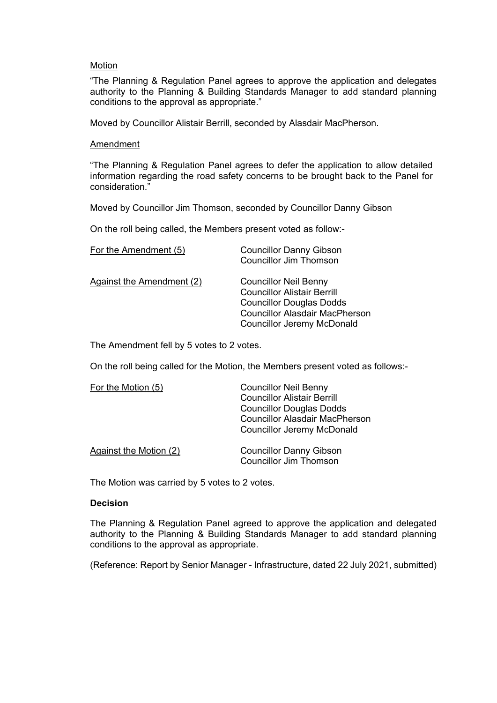#### **Motion**

"The Planning & Regulation Panel agrees to approve the application and delegates authority to the Planning & Building Standards Manager to add standard planning conditions to the approval as appropriate."

Moved by Councillor Alistair Berrill, seconded by Alasdair MacPherson.

#### Amendment

"The Planning & Regulation Panel agrees to defer the application to allow detailed information regarding the road safety concerns to be brought back to the Panel for consideration."

Moved by Councillor Jim Thomson, seconded by Councillor Danny Gibson

On the roll being called, the Members present voted as follow:-

| For the Amendment (5)     | <b>Councillor Danny Gibson</b><br><b>Councillor Jim Thomson</b>                                                                                                                     |
|---------------------------|-------------------------------------------------------------------------------------------------------------------------------------------------------------------------------------|
| Against the Amendment (2) | <b>Councillor Neil Benny</b><br><b>Councillor Alistair Berrill</b><br><b>Councillor Douglas Dodds</b><br><b>Councillor Alasdair MacPherson</b><br><b>Councillor Jeremy McDonald</b> |

The Amendment fell by 5 votes to 2 votes.

On the roll being called for the Motion, the Members present voted as follows:-

| For the Motion (5)     | <b>Councillor Neil Benny</b>          |
|------------------------|---------------------------------------|
|                        | <b>Councillor Alistair Berrill</b>    |
|                        | <b>Councillor Douglas Dodds</b>       |
|                        | <b>Councillor Alasdair MacPherson</b> |
|                        | <b>Councillor Jeremy McDonald</b>     |
| Against the Motion (2) | <b>Councillor Danny Gibson</b>        |
|                        | <b>Councillor Jim Thomson</b>         |

The Motion was carried by 5 votes to 2 votes.

#### **Decision**

The Planning & Regulation Panel agreed to approve the application and delegated authority to the Planning & Building Standards Manager to add standard planning conditions to the approval as appropriate.

(Reference: Report by Senior Manager - Infrastructure, dated 22 July 2021, submitted)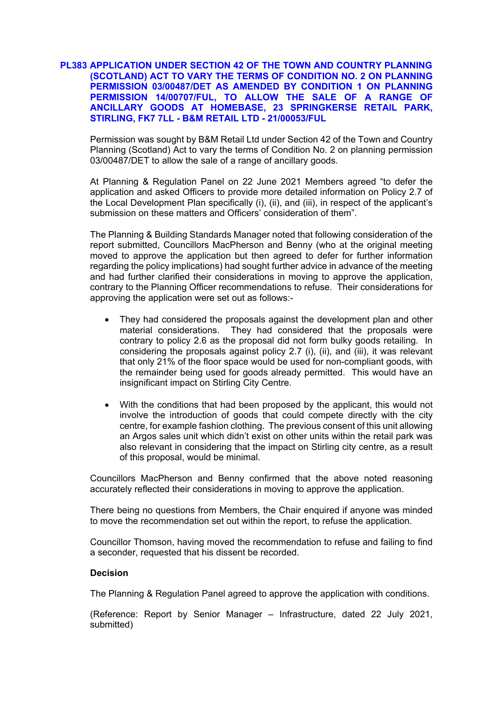## **PL383 APPLICATION UNDER SECTION 42 OF THE TOWN AND COUNTRY PLANNING (SCOTLAND) ACT TO VARY THE TERMS OF CONDITION NO. 2 ON PLANNING PERMISSION 03/00487/DET AS AMENDED BY CONDITION 1 ON PLANNING PERMISSION 14/00707/FUL, TO ALLOW THE SALE OF A RANGE OF ANCILLARY GOODS AT HOMEBASE, 23 SPRINGKERSE RETAIL PARK, STIRLING, FK7 7LL - B&M RETAIL LTD - 21/00053/FUL**

Permission was sought by B&M Retail Ltd under Section 42 of the Town and Country Planning (Scotland) Act to vary the terms of Condition No. 2 on planning permission 03/00487/DET to allow the sale of a range of ancillary goods.

At Planning & Regulation Panel on 22 June 2021 Members agreed "to defer the application and asked Officers to provide more detailed information on Policy 2.7 of the Local Development Plan specifically (i), (ii), and (iii), in respect of the applicant's submission on these matters and Officers' consideration of them".

The Planning & Building Standards Manager noted that following consideration of the report submitted, Councillors MacPherson and Benny (who at the original meeting moved to approve the application but then agreed to defer for further information regarding the policy implications) had sought further advice in advance of the meeting and had further clarified their considerations in moving to approve the application, contrary to the Planning Officer recommendations to refuse. Their considerations for approving the application were set out as follows:-

- They had considered the proposals against the development plan and other material considerations. They had considered that the proposals were contrary to policy 2.6 as the proposal did not form bulky goods retailing. In considering the proposals against policy 2.7 (i), (ii), and (iii), it was relevant that only 21% of the floor space would be used for non-compliant goods, with the remainder being used for goods already permitted. This would have an insignificant impact on Stirling City Centre.
- With the conditions that had been proposed by the applicant, this would not involve the introduction of goods that could compete directly with the city centre, for example fashion clothing. The previous consent of this unit allowing an Argos sales unit which didn't exist on other units within the retail park was also relevant in considering that the impact on Stirling city centre, as a result of this proposal, would be minimal.

Councillors MacPherson and Benny confirmed that the above noted reasoning accurately reflected their considerations in moving to approve the application.

There being no questions from Members, the Chair enquired if anyone was minded to move the recommendation set out within the report, to refuse the application.

Councillor Thomson, having moved the recommendation to refuse and failing to find a seconder, requested that his dissent be recorded.

#### **Decision**

The Planning & Regulation Panel agreed to approve the application with conditions.

(Reference: Report by Senior Manager – Infrastructure, dated 22 July 2021, submitted)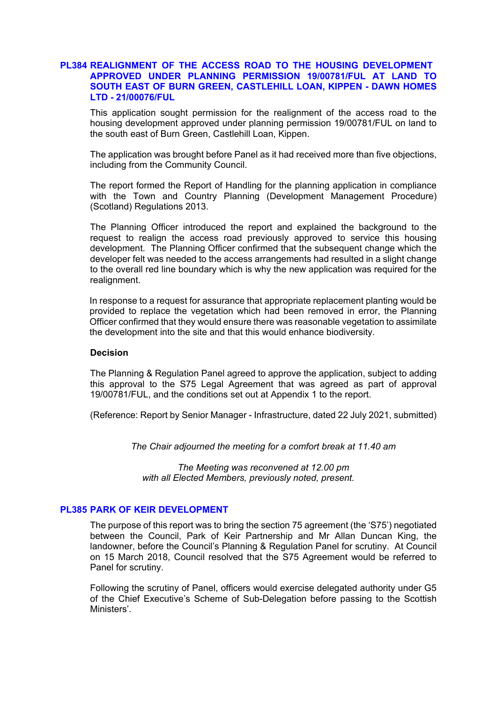#### **PL384 REALIGNMENT OF THE ACCESS ROAD TO THE HOUSING DEVELOPMENT APPROVED UNDER PLANNING PERMISSION 19/00781/FUL AT LAND TO SOUTH EAST OF BURN GREEN, CASTLEHILL LOAN, KIPPEN - DAWN HOMES LTD - 21/00076/FUL**

This application sought permission for the realignment of the access road to the housing development approved under planning permission 19/00781/FUL on land to the south east of Burn Green, Castlehill Loan, Kippen.

The application was brought before Panel as it had received more than five objections, including from the Community Council.

The report formed the Report of Handling for the planning application in compliance with the Town and Country Planning (Development Management Procedure) (Scotland) Regulations 2013.

The Planning Officer introduced the report and explained the background to the request to realign the access road previously approved to service this housing development. The Planning Officer confirmed that the subsequent change which the developer felt was needed to the access arrangements had resulted in a slight change to the overall red line boundary which is why the new application was required for the realignment.

In response to a request for assurance that appropriate replacement planting would be provided to replace the vegetation which had been removed in error, the Planning Officer confirmed that they would ensure there was reasonable vegetation to assimilate the development into the site and that this would enhance biodiversity.

#### **Decision**

The Planning & Regulation Panel agreed to approve the application, subject to adding this approval to the S75 Legal Agreement that was agreed as part of approval 19/00781/FUL, and the conditions set out at Appendix 1 to the report.

(Reference: Report by Senior Manager - Infrastructure, dated 22 July 2021, submitted)

*The Chair adjourned the meeting for a comfort break at 11.40 am* 

*The Meeting was reconvened at 12.00 pm with all Elected Members, previously noted, present.*

## **PL385 PARK OF KEIR DEVELOPMENT**

The purpose of this report was to bring the section 75 agreement (the 'S75') negotiated between the Council, Park of Keir Partnership and Mr Allan Duncan King, the landowner, before the Council's Planning & Regulation Panel for scrutiny. At Council on 15 March 2018, Council resolved that the S75 Agreement would be referred to Panel for scrutiny.

Following the scrutiny of Panel, officers would exercise delegated authority under G5 of the Chief Executive's Scheme of Sub-Delegation before passing to the Scottish Ministers'.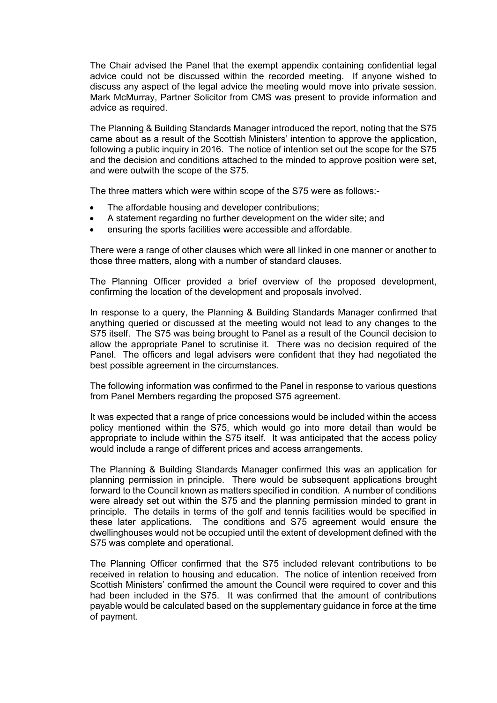The Chair advised the Panel that the exempt appendix containing confidential legal advice could not be discussed within the recorded meeting. If anyone wished to discuss any aspect of the legal advice the meeting would move into private session. Mark McMurray, Partner Solicitor from CMS was present to provide information and advice as required.

The Planning & Building Standards Manager introduced the report, noting that the S75 came about as a result of the Scottish Ministers' intention to approve the application, following a public inquiry in 2016. The notice of intention set out the scope for the S75 and the decision and conditions attached to the minded to approve position were set, and were outwith the scope of the S75.

The three matters which were within scope of the S75 were as follows:-

- The affordable housing and developer contributions;
- A statement regarding no further development on the wider site; and
- ensuring the sports facilities were accessible and affordable.

There were a range of other clauses which were all linked in one manner or another to those three matters, along with a number of standard clauses.

The Planning Officer provided a brief overview of the proposed development, confirming the location of the development and proposals involved.

In response to a query, the Planning & Building Standards Manager confirmed that anything queried or discussed at the meeting would not lead to any changes to the S75 itself. The S75 was being brought to Panel as a result of the Council decision to allow the appropriate Panel to scrutinise it. There was no decision required of the Panel. The officers and legal advisers were confident that they had negotiated the best possible agreement in the circumstances.

The following information was confirmed to the Panel in response to various questions from Panel Members regarding the proposed S75 agreement.

It was expected that a range of price concessions would be included within the access policy mentioned within the S75, which would go into more detail than would be appropriate to include within the S75 itself. It was anticipated that the access policy would include a range of different prices and access arrangements.

The Planning & Building Standards Manager confirmed this was an application for planning permission in principle. There would be subsequent applications brought forward to the Council known as matters specified in condition. A number of conditions were already set out within the S75 and the planning permission minded to grant in principle. The details in terms of the golf and tennis facilities would be specified in these later applications. The conditions and S75 agreement would ensure the dwellinghouses would not be occupied until the extent of development defined with the S75 was complete and operational.

The Planning Officer confirmed that the S75 included relevant contributions to be received in relation to housing and education. The notice of intention received from Scottish Ministers' confirmed the amount the Council were required to cover and this had been included in the S75. It was confirmed that the amount of contributions payable would be calculated based on the supplementary guidance in force at the time of payment.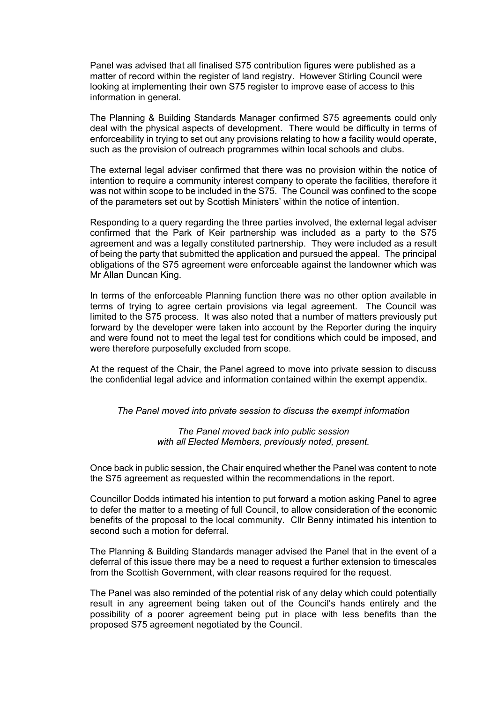Panel was advised that all finalised S75 contribution figures were published as a matter of record within the register of land registry. However Stirling Council were looking at implementing their own S75 register to improve ease of access to this information in general.

The Planning & Building Standards Manager confirmed S75 agreements could only deal with the physical aspects of development. There would be difficulty in terms of enforceability in trying to set out any provisions relating to how a facility would operate, such as the provision of outreach programmes within local schools and clubs.

The external legal adviser confirmed that there was no provision within the notice of intention to require a community interest company to operate the facilities, therefore it was not within scope to be included in the S75. The Council was confined to the scope of the parameters set out by Scottish Ministers' within the notice of intention.

Responding to a query regarding the three parties involved, the external legal adviser confirmed that the Park of Keir partnership was included as a party to the S75 agreement and was a legally constituted partnership. They were included as a result of being the party that submitted the application and pursued the appeal. The principal obligations of the S75 agreement were enforceable against the landowner which was Mr Allan Duncan King.

In terms of the enforceable Planning function there was no other option available in terms of trying to agree certain provisions via legal agreement. The Council was limited to the S75 process. It was also noted that a number of matters previously put forward by the developer were taken into account by the Reporter during the inquiry and were found not to meet the legal test for conditions which could be imposed, and were therefore purposefully excluded from scope.

At the request of the Chair, the Panel agreed to move into private session to discuss the confidential legal advice and information contained within the exempt appendix.

*The Panel moved into private session to discuss the exempt information* 

*The Panel moved back into public session with all Elected Members, previously noted, present.* 

Once back in public session, the Chair enquired whether the Panel was content to note the S75 agreement as requested within the recommendations in the report.

Councillor Dodds intimated his intention to put forward a motion asking Panel to agree to defer the matter to a meeting of full Council, to allow consideration of the economic benefits of the proposal to the local community. Cllr Benny intimated his intention to second such a motion for deferral.

The Planning & Building Standards manager advised the Panel that in the event of a deferral of this issue there may be a need to request a further extension to timescales from the Scottish Government, with clear reasons required for the request.

The Panel was also reminded of the potential risk of any delay which could potentially result in any agreement being taken out of the Council's hands entirely and the possibility of a poorer agreement being put in place with less benefits than the proposed S75 agreement negotiated by the Council.